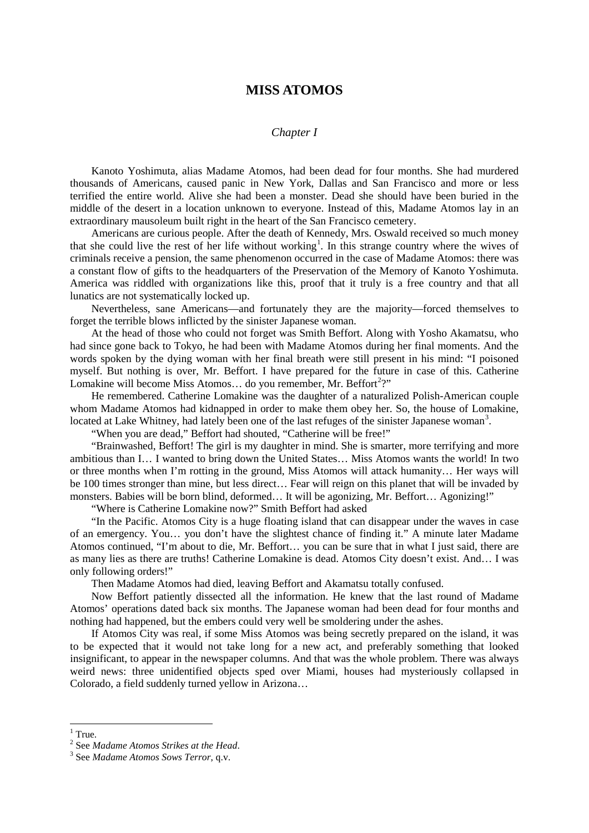## **MISS ATOMOS**

## *Chapter I*

Kanoto Yoshimuta, alias Madame Atomos, had been dead for four months. She had murdered thousands of Americans, caused panic in New York, Dallas and San Francisco and more or less terrified the entire world. Alive she had been a monster. Dead she should have been buried in the middle of the desert in a location unknown to everyone. Instead of this, Madame Atomos lay in an extraordinary mausoleum built right in the heart of the San Francisco cemetery.

Americans are curious people. After the death of Kennedy, Mrs. Oswald received so much money that she could live the rest of her life without working<sup>[1](#page-0-0)</sup>. In this strange country where the wives of criminals receive a pension, the same phenomenon occurred in the case of Madame Atomos: there was a constant flow of gifts to the headquarters of the Preservation of the Memory of Kanoto Yoshimuta. America was riddled with organizations like this, proof that it truly is a free country and that all lunatics are not systematically locked up.

Nevertheless, sane Americans—and fortunately they are the majority—forced themselves to forget the terrible blows inflicted by the sinister Japanese woman.

At the head of those who could not forget was Smith Beffort. Along with Yosho Akamatsu, who had since gone back to Tokyo, he had been with Madame Atomos during her final moments. And the words spoken by the dying woman with her final breath were still present in his mind: "I poisoned myself. But nothing is over, Mr. Beffort. I have prepared for the future in case of this. Catherine Lomakine will become Miss Atomos... do you remember, Mr. Beffort<sup>[2](#page-0-1)</sup>?"

He remembered. Catherine Lomakine was the daughter of a naturalized Polish-American couple whom Madame Atomos had kidnapped in order to make them obey her. So, the house of Lomakine, located at Lake Whitney, had lately been one of the last refuges of the sinister Japanese woman<sup>[3](#page-0-2)</sup>.

"When you are dead," Beffort had shouted, "Catherine will be free!"

"Brainwashed, Beffort! The girl is my daughter in mind. She is smarter, more terrifying and more ambitious than I… I wanted to bring down the United States… Miss Atomos wants the world! In two or three months when I'm rotting in the ground, Miss Atomos will attack humanity… Her ways will be 100 times stronger than mine, but less direct… Fear will reign on this planet that will be invaded by monsters. Babies will be born blind, deformed… It will be agonizing, Mr. Beffort… Agonizing!"

"Where is Catherine Lomakine now?" Smith Beffort had asked

"In the Pacific. Atomos City is a huge floating island that can disappear under the waves in case of an emergency. You… you don't have the slightest chance of finding it." A minute later Madame Atomos continued, "I'm about to die, Mr. Beffort… you can be sure that in what I just said, there are as many lies as there are truths! Catherine Lomakine is dead. Atomos City doesn't exist. And… I was only following orders!"

Then Madame Atomos had died, leaving Beffort and Akamatsu totally confused.

Now Beffort patiently dissected all the information. He knew that the last round of Madame Atomos' operations dated back six months. The Japanese woman had been dead for four months and nothing had happened, but the embers could very well be smoldering under the ashes.

If Atomos City was real, if some Miss Atomos was being secretly prepared on the island, it was to be expected that it would not take long for a new act, and preferably something that looked insignificant, to appear in the newspaper columns. And that was the whole problem. There was always weird news: three unidentified objects sped over Miami, houses had mysteriously collapsed in Colorado, a field suddenly turned yellow in Arizona…

<span id="page-0-0"></span><sup>&</sup>lt;sup>1</sup> True.<br><sup>2</sup> See *Madame Atomos Strikes at the Head.* 

<span id="page-0-2"></span><span id="page-0-1"></span><sup>&</sup>lt;sup>3</sup> See *Madame Atomos Sows Terror*, q.v.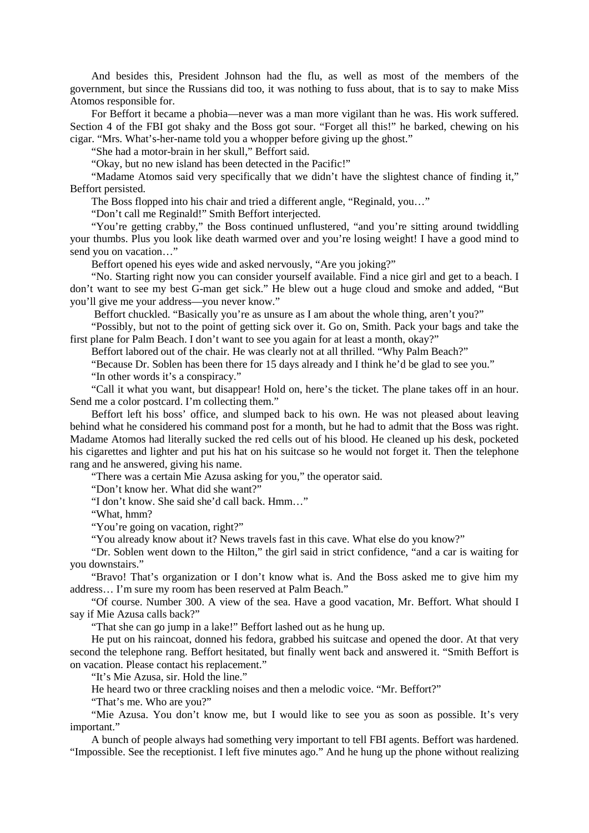And besides this, President Johnson had the flu, as well as most of the members of the government, but since the Russians did too, it was nothing to fuss about, that is to say to make Miss Atomos responsible for.

For Beffort it became a phobia—never was a man more vigilant than he was. His work suffered. Section 4 of the FBI got shaky and the Boss got sour. "Forget all this!" he barked, chewing on his cigar. "Mrs. What's-her-name told you a whopper before giving up the ghost."

"She had a motor-brain in her skull," Beffort said.

"Okay, but no new island has been detected in the Pacific!"

"Madame Atomos said very specifically that we didn't have the slightest chance of finding it," Beffort persisted.

The Boss flopped into his chair and tried a different angle, "Reginald, you…"

"Don't call me Reginald!" Smith Beffort interjected.

"You're getting crabby," the Boss continued unflustered, "and you're sitting around twiddling your thumbs. Plus you look like death warmed over and you're losing weight! I have a good mind to send you on vacation…"

Beffort opened his eyes wide and asked nervously, "Are you joking?"

"No. Starting right now you can consider yourself available. Find a nice girl and get to a beach. I don't want to see my best G-man get sick." He blew out a huge cloud and smoke and added, "But you'll give me your address—you never know."

Beffort chuckled. "Basically you're as unsure as I am about the whole thing, aren't you?"

"Possibly, but not to the point of getting sick over it. Go on, Smith. Pack your bags and take the first plane for Palm Beach. I don't want to see you again for at least a month, okay?"

Beffort labored out of the chair. He was clearly not at all thrilled. "Why Palm Beach?"

"Because Dr. Soblen has been there for 15 days already and I think he'd be glad to see you." "In other words it's a conspiracy."

"Call it what you want, but disappear! Hold on, here's the ticket. The plane takes off in an hour. Send me a color postcard. I'm collecting them."

Beffort left his boss' office, and slumped back to his own. He was not pleased about leaving behind what he considered his command post for a month, but he had to admit that the Boss was right. Madame Atomos had literally sucked the red cells out of his blood. He cleaned up his desk, pocketed his cigarettes and lighter and put his hat on his suitcase so he would not forget it. Then the telephone rang and he answered, giving his name.

"There was a certain Mie Azusa asking for you," the operator said.

"Don't know her. What did she want?"

"I don't know. She said she'd call back. Hmm…"

"What, hmm?

"You're going on vacation, right?"

"You already know about it? News travels fast in this cave. What else do you know?"

"Dr. Soblen went down to the Hilton," the girl said in strict confidence, "and a car is waiting for you downstairs."

"Bravo! That's organization or I don't know what is. And the Boss asked me to give him my address… I'm sure my room has been reserved at Palm Beach."

"Of course. Number 300. A view of the sea. Have a good vacation, Mr. Beffort. What should I say if Mie Azusa calls back?"

"That she can go jump in a lake!" Beffort lashed out as he hung up.

He put on his raincoat, donned his fedora, grabbed his suitcase and opened the door. At that very second the telephone rang. Beffort hesitated, but finally went back and answered it. "Smith Beffort is on vacation. Please contact his replacement."

"It's Mie Azusa, sir. Hold the line."

He heard two or three crackling noises and then a melodic voice. "Mr. Beffort?"

"That's me. Who are you?"

"Mie Azusa. You don't know me, but I would like to see you as soon as possible. It's very important."

A bunch of people always had something very important to tell FBI agents. Beffort was hardened. "Impossible. See the receptionist. I left five minutes ago." And he hung up the phone without realizing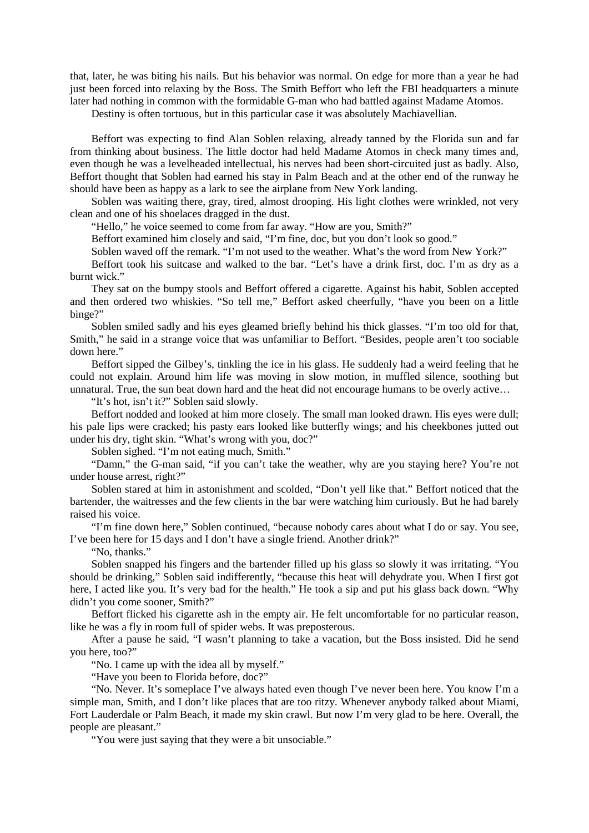that, later, he was biting his nails. But his behavior was normal. On edge for more than a year he had just been forced into relaxing by the Boss. The Smith Beffort who left the FBI headquarters a minute later had nothing in common with the formidable G-man who had battled against Madame Atomos.

Destiny is often tortuous, but in this particular case it was absolutely Machiavellian.

Beffort was expecting to find Alan Soblen relaxing, already tanned by the Florida sun and far from thinking about business. The little doctor had held Madame Atomos in check many times and, even though he was a levelheaded intellectual, his nerves had been short-circuited just as badly. Also, Beffort thought that Soblen had earned his stay in Palm Beach and at the other end of the runway he should have been as happy as a lark to see the airplane from New York landing.

Soblen was waiting there, gray, tired, almost drooping. His light clothes were wrinkled, not very clean and one of his shoelaces dragged in the dust.

"Hello," he voice seemed to come from far away. "How are you, Smith?"

Beffort examined him closely and said, "I'm fine, doc, but you don't look so good."

Soblen waved off the remark. "I'm not used to the weather. What's the word from New York?"

Beffort took his suitcase and walked to the bar. "Let's have a drink first, doc. I'm as dry as a burnt wick."

They sat on the bumpy stools and Beffort offered a cigarette. Against his habit, Soblen accepted and then ordered two whiskies. "So tell me," Beffort asked cheerfully, "have you been on a little binge?"

Soblen smiled sadly and his eyes gleamed briefly behind his thick glasses. "I'm too old for that, Smith," he said in a strange voice that was unfamiliar to Beffort. "Besides, people aren't too sociable down here."

Beffort sipped the Gilbey's, tinkling the ice in his glass. He suddenly had a weird feeling that he could not explain. Around him life was moving in slow motion, in muffled silence, soothing but unnatural. True, the sun beat down hard and the heat did not encourage humans to be overly active…

"It's hot, isn't it?" Soblen said slowly.

Beffort nodded and looked at him more closely. The small man looked drawn. His eyes were dull; his pale lips were cracked; his pasty ears looked like butterfly wings; and his cheekbones jutted out under his dry, tight skin. "What's wrong with you, doc?"

Soblen sighed. "I'm not eating much, Smith."

"Damn," the G-man said, "if you can't take the weather, why are you staying here? You're not under house arrest, right?"

Soblen stared at him in astonishment and scolded, "Don't yell like that." Beffort noticed that the bartender, the waitresses and the few clients in the bar were watching him curiously. But he had barely raised his voice.

"I'm fine down here," Soblen continued, "because nobody cares about what I do or say. You see, I've been here for 15 days and I don't have a single friend. Another drink?"

"No, thanks."

Soblen snapped his fingers and the bartender filled up his glass so slowly it was irritating. "You should be drinking," Soblen said indifferently, "because this heat will dehydrate you. When I first got here, I acted like you. It's very bad for the health." He took a sip and put his glass back down. "Why didn't you come sooner, Smith?"

Beffort flicked his cigarette ash in the empty air. He felt uncomfortable for no particular reason, like he was a fly in room full of spider webs. It was preposterous.

After a pause he said, "I wasn't planning to take a vacation, but the Boss insisted. Did he send you here, too?"

"No. I came up with the idea all by myself."

"Have you been to Florida before, doc?"

"No. Never. It's someplace I've always hated even though I've never been here. You know I'm a simple man, Smith, and I don't like places that are too ritzy. Whenever anybody talked about Miami, Fort Lauderdale or Palm Beach, it made my skin crawl. But now I'm very glad to be here. Overall, the people are pleasant."

"You were just saying that they were a bit unsociable."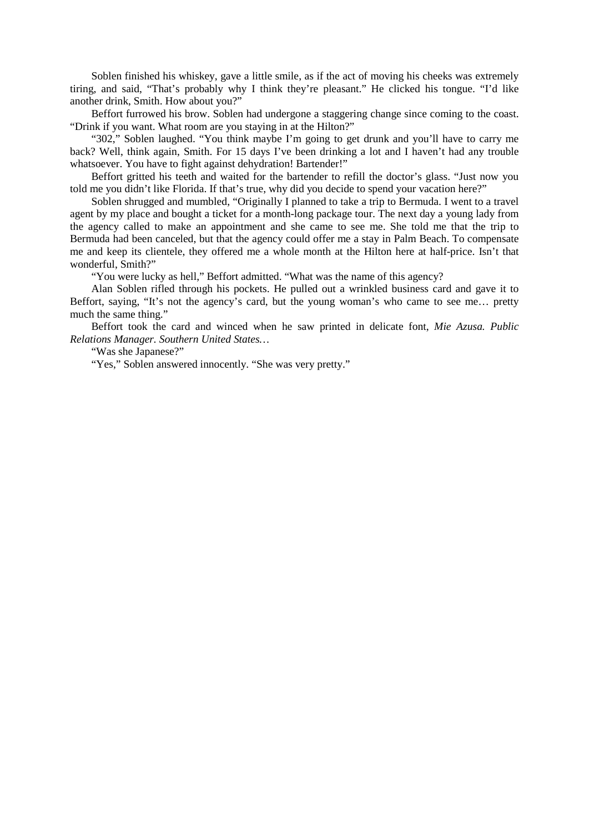Soblen finished his whiskey, gave a little smile, as if the act of moving his cheeks was extremely tiring, and said, "That's probably why I think they're pleasant." He clicked his tongue. "I'd like another drink, Smith. How about you?"

Beffort furrowed his brow. Soblen had undergone a staggering change since coming to the coast. "Drink if you want. What room are you staying in at the Hilton?"

"302," Soblen laughed. "You think maybe I'm going to get drunk and you'll have to carry me back? Well, think again, Smith. For 15 days I've been drinking a lot and I haven't had any trouble whatsoever. You have to fight against dehydration! Bartender!"

Beffort gritted his teeth and waited for the bartender to refill the doctor's glass. "Just now you told me you didn't like Florida. If that's true, why did you decide to spend your vacation here?"

Soblen shrugged and mumbled, "Originally I planned to take a trip to Bermuda. I went to a travel agent by my place and bought a ticket for a month-long package tour. The next day a young lady from the agency called to make an appointment and she came to see me. She told me that the trip to Bermuda had been canceled, but that the agency could offer me a stay in Palm Beach. To compensate me and keep its clientele, they offered me a whole month at the Hilton here at half-price. Isn't that wonderful, Smith?"

"You were lucky as hell," Beffort admitted. "What was the name of this agency?

Alan Soblen rifled through his pockets. He pulled out a wrinkled business card and gave it to Beffort, saying, "It's not the agency's card, but the young woman's who came to see me… pretty much the same thing."

Beffort took the card and winced when he saw printed in delicate font, *Mie Azusa. Public Relations Manager. Southern United States…*

"Was she Japanese?"

"Yes," Soblen answered innocently. "She was very pretty."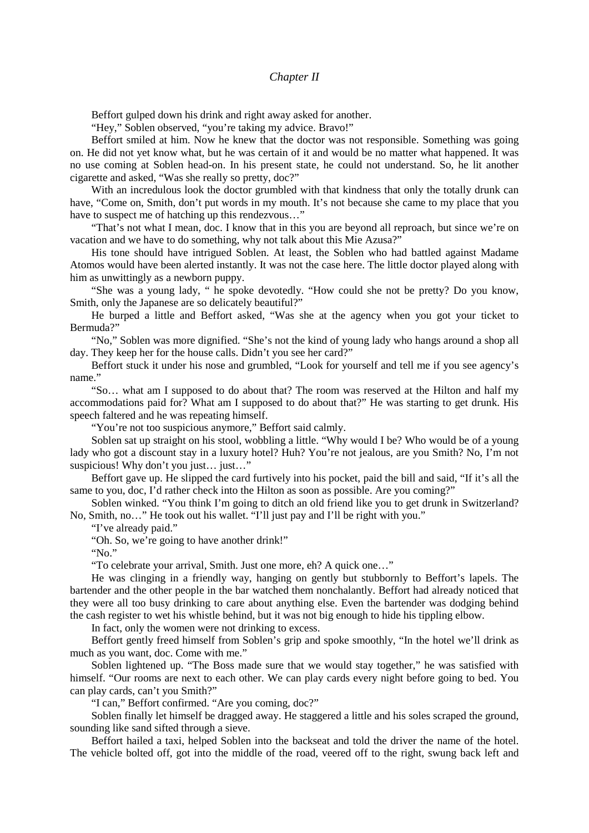*Chapter II*

Beffort gulped down his drink and right away asked for another.

"Hey," Soblen observed, "you're taking my advice. Bravo!"

Beffort smiled at him. Now he knew that the doctor was not responsible. Something was going on. He did not yet know what, but he was certain of it and would be no matter what happened. It was no use coming at Soblen head-on. In his present state, he could not understand. So, he lit another cigarette and asked, "Was she really so pretty, doc?"

With an incredulous look the doctor grumbled with that kindness that only the totally drunk can have, "Come on, Smith, don't put words in my mouth. It's not because she came to my place that you have to suspect me of hatching up this rendezvous…"

"That's not what I mean, doc. I know that in this you are beyond all reproach, but since we're on vacation and we have to do something, why not talk about this Mie Azusa?"

His tone should have intrigued Soblen. At least, the Soblen who had battled against Madame Atomos would have been alerted instantly. It was not the case here. The little doctor played along with him as unwittingly as a newborn puppy.

"She was a young lady, " he spoke devotedly. "How could she not be pretty? Do you know, Smith, only the Japanese are so delicately beautiful?"

He burped a little and Beffort asked, "Was she at the agency when you got your ticket to Bermuda?"

"No," Soblen was more dignified. "She's not the kind of young lady who hangs around a shop all day. They keep her for the house calls. Didn't you see her card?"

Beffort stuck it under his nose and grumbled, "Look for yourself and tell me if you see agency's name."

"So… what am I supposed to do about that? The room was reserved at the Hilton and half my accommodations paid for? What am I supposed to do about that?" He was starting to get drunk. His speech faltered and he was repeating himself.

"You're not too suspicious anymore," Beffort said calmly.

Soblen sat up straight on his stool, wobbling a little. "Why would I be? Who would be of a young lady who got a discount stay in a luxury hotel? Huh? You're not jealous, are you Smith? No, I'm not suspicious! Why don't you just... just..."

Beffort gave up. He slipped the card furtively into his pocket, paid the bill and said, "If it's all the same to you, doc, I'd rather check into the Hilton as soon as possible. Are you coming?"

Soblen winked. "You think I'm going to ditch an old friend like you to get drunk in Switzerland? No, Smith, no…" He took out his wallet. "I'll just pay and I'll be right with you."

"I've already paid."

"Oh. So, we're going to have another drink!"

"No."

"To celebrate your arrival, Smith. Just one more, eh? A quick one…"

He was clinging in a friendly way, hanging on gently but stubbornly to Beffort's lapels. The bartender and the other people in the bar watched them nonchalantly. Beffort had already noticed that they were all too busy drinking to care about anything else. Even the bartender was dodging behind the cash register to wet his whistle behind, but it was not big enough to hide his tippling elbow.

In fact, only the women were not drinking to excess.

Beffort gently freed himself from Soblen's grip and spoke smoothly, "In the hotel we'll drink as much as you want, doc. Come with me."

Soblen lightened up. "The Boss made sure that we would stay together," he was satisfied with himself. "Our rooms are next to each other. We can play cards every night before going to bed. You can play cards, can't you Smith?"

"I can," Beffort confirmed. "Are you coming, doc?"

Soblen finally let himself be dragged away. He staggered a little and his soles scraped the ground, sounding like sand sifted through a sieve.

Beffort hailed a taxi, helped Soblen into the backseat and told the driver the name of the hotel. The vehicle bolted off, got into the middle of the road, veered off to the right, swung back left and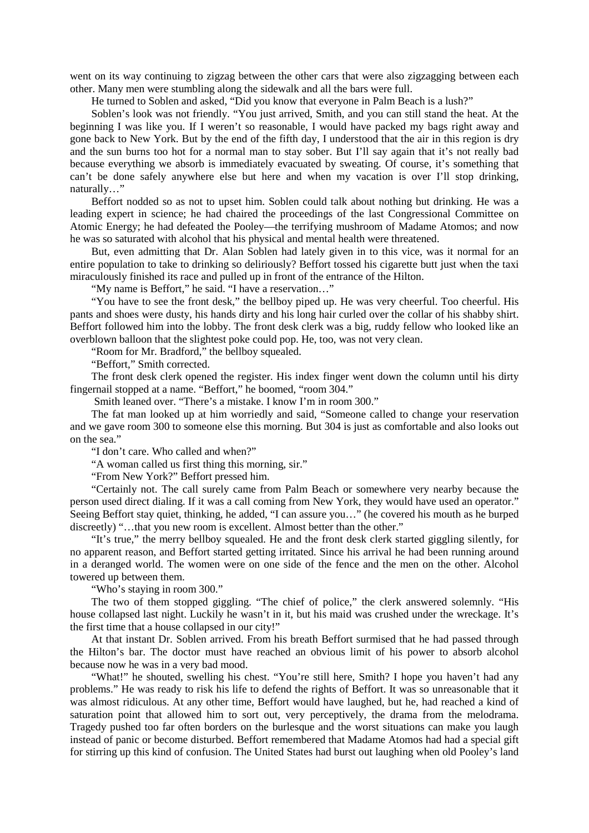went on its way continuing to zigzag between the other cars that were also zigzagging between each other. Many men were stumbling along the sidewalk and all the bars were full.

He turned to Soblen and asked, "Did you know that everyone in Palm Beach is a lush?"

Soblen's look was not friendly. "You just arrived, Smith, and you can still stand the heat. At the beginning I was like you. If I weren't so reasonable, I would have packed my bags right away and gone back to New York. But by the end of the fifth day, I understood that the air in this region is dry and the sun burns too hot for a normal man to stay sober. But I'll say again that it's not really bad because everything we absorb is immediately evacuated by sweating. Of course, it's something that can't be done safely anywhere else but here and when my vacation is over I'll stop drinking, naturally…"

Beffort nodded so as not to upset him. Soblen could talk about nothing but drinking. He was a leading expert in science; he had chaired the proceedings of the last Congressional Committee on Atomic Energy; he had defeated the Pooley—the terrifying mushroom of Madame Atomos; and now he was so saturated with alcohol that his physical and mental health were threatened.

But, even admitting that Dr. Alan Soblen had lately given in to this vice, was it normal for an entire population to take to drinking so deliriously? Beffort tossed his cigarette butt just when the taxi miraculously finished its race and pulled up in front of the entrance of the Hilton.

"My name is Beffort," he said. "I have a reservation…"

"You have to see the front desk," the bellboy piped up. He was very cheerful. Too cheerful. His pants and shoes were dusty, his hands dirty and his long hair curled over the collar of his shabby shirt. Beffort followed him into the lobby. The front desk clerk was a big, ruddy fellow who looked like an overblown balloon that the slightest poke could pop. He, too, was not very clean.

"Room for Mr. Bradford," the bellboy squealed.

"Beffort," Smith corrected.

The front desk clerk opened the register. His index finger went down the column until his dirty fingernail stopped at a name. "Beffort," he boomed, "room 304."

Smith leaned over. "There's a mistake. I know I'm in room 300."

The fat man looked up at him worriedly and said, "Someone called to change your reservation and we gave room 300 to someone else this morning. But 304 is just as comfortable and also looks out on the sea."

"I don't care. Who called and when?"

"A woman called us first thing this morning, sir."

"From New York?" Beffort pressed him.

"Certainly not. The call surely came from Palm Beach or somewhere very nearby because the person used direct dialing. If it was a call coming from New York, they would have used an operator." Seeing Beffort stay quiet, thinking, he added, "I can assure you…" (he covered his mouth as he burped discreetly) "…that you new room is excellent. Almost better than the other."

"It's true," the merry bellboy squealed. He and the front desk clerk started giggling silently, for no apparent reason, and Beffort started getting irritated. Since his arrival he had been running around in a deranged world. The women were on one side of the fence and the men on the other. Alcohol towered up between them.

"Who's staying in room 300."

The two of them stopped giggling. "The chief of police," the clerk answered solemnly. "His house collapsed last night. Luckily he wasn't in it, but his maid was crushed under the wreckage. It's the first time that a house collapsed in our city!"

At that instant Dr. Soblen arrived. From his breath Beffort surmised that he had passed through the Hilton's bar. The doctor must have reached an obvious limit of his power to absorb alcohol because now he was in a very bad mood.

"What!" he shouted, swelling his chest. "You're still here, Smith? I hope you haven't had any problems." He was ready to risk his life to defend the rights of Beffort. It was so unreasonable that it was almost ridiculous. At any other time, Beffort would have laughed, but he, had reached a kind of saturation point that allowed him to sort out, very perceptively, the drama from the melodrama. Tragedy pushed too far often borders on the burlesque and the worst situations can make you laugh instead of panic or become disturbed. Beffort remembered that Madame Atomos had had a special gift for stirring up this kind of confusion. The United States had burst out laughing when old Pooley's land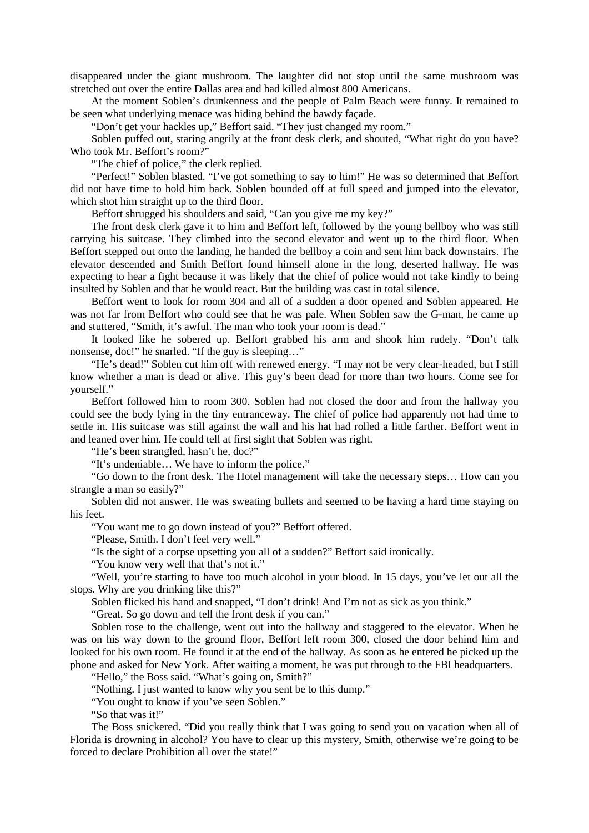disappeared under the giant mushroom. The laughter did not stop until the same mushroom was stretched out over the entire Dallas area and had killed almost 800 Americans.

At the moment Soblen's drunkenness and the people of Palm Beach were funny. It remained to be seen what underlying menace was hiding behind the bawdy façade.

"Don't get your hackles up," Beffort said. "They just changed my room."

Soblen puffed out, staring angrily at the front desk clerk, and shouted, "What right do you have? Who took Mr. Beffort's room?"

"The chief of police," the clerk replied.

"Perfect!" Soblen blasted. "I've got something to say to him!" He was so determined that Beffort did not have time to hold him back. Soblen bounded off at full speed and jumped into the elevator, which shot him straight up to the third floor.

Beffort shrugged his shoulders and said, "Can you give me my key?"

The front desk clerk gave it to him and Beffort left, followed by the young bellboy who was still carrying his suitcase. They climbed into the second elevator and went up to the third floor. When Beffort stepped out onto the landing, he handed the bellboy a coin and sent him back downstairs. The elevator descended and Smith Beffort found himself alone in the long, deserted hallway. He was expecting to hear a fight because it was likely that the chief of police would not take kindly to being insulted by Soblen and that he would react. But the building was cast in total silence.

Beffort went to look for room 304 and all of a sudden a door opened and Soblen appeared. He was not far from Beffort who could see that he was pale. When Soblen saw the G-man, he came up and stuttered, "Smith, it's awful. The man who took your room is dead."

It looked like he sobered up. Beffort grabbed his arm and shook him rudely. "Don't talk nonsense, doc!" he snarled. "If the guy is sleeping…"

"He's dead!" Soblen cut him off with renewed energy. "I may not be very clear-headed, but I still know whether a man is dead or alive. This guy's been dead for more than two hours. Come see for yourself."

Beffort followed him to room 300. Soblen had not closed the door and from the hallway you could see the body lying in the tiny entranceway. The chief of police had apparently not had time to settle in. His suitcase was still against the wall and his hat had rolled a little farther. Beffort went in and leaned over him. He could tell at first sight that Soblen was right.

"He's been strangled, hasn't he, doc?"

"It's undeniable… We have to inform the police."

"Go down to the front desk. The Hotel management will take the necessary steps… How can you strangle a man so easily?"

Soblen did not answer. He was sweating bullets and seemed to be having a hard time staying on his feet.

"You want me to go down instead of you?" Beffort offered.

"Please, Smith. I don't feel very well."

"Is the sight of a corpse upsetting you all of a sudden?" Beffort said ironically.

"You know very well that that's not it."

"Well, you're starting to have too much alcohol in your blood. In 15 days, you've let out all the stops. Why are you drinking like this?"

Soblen flicked his hand and snapped, "I don't drink! And I'm not as sick as you think."

"Great. So go down and tell the front desk if you can."

Soblen rose to the challenge, went out into the hallway and staggered to the elevator. When he was on his way down to the ground floor, Beffort left room 300, closed the door behind him and looked for his own room. He found it at the end of the hallway. As soon as he entered he picked up the phone and asked for New York. After waiting a moment, he was put through to the FBI headquarters.

"Hello," the Boss said. "What's going on, Smith?"

"Nothing. I just wanted to know why you sent be to this dump."

"You ought to know if you've seen Soblen."

"So that was it!"

The Boss snickered. "Did you really think that I was going to send you on vacation when all of Florida is drowning in alcohol? You have to clear up this mystery, Smith, otherwise we're going to be forced to declare Prohibition all over the state!"